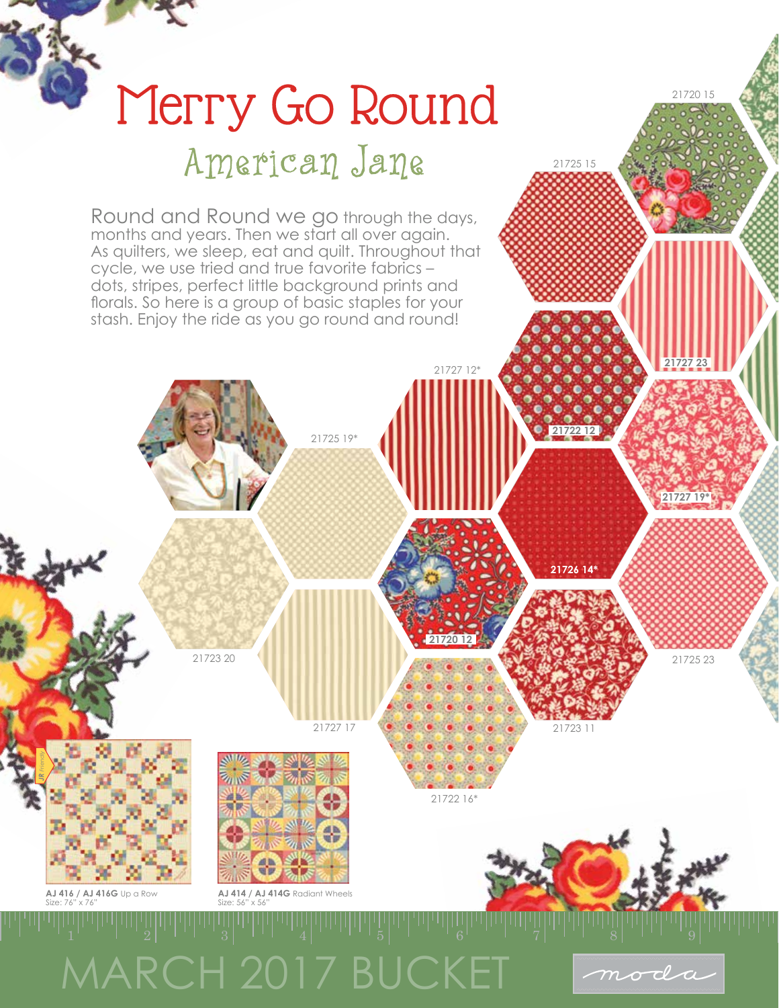

21720 15

**21727 23**

21725 15

**21722 12**

21727 12\*



## Round and Round we go through the days, months and years. Then we start all over again. As quilters, we sleep, eat and quilt. Throughout that cycle, we use tried and true favorite fabrics – dots, stripes, perfect little background prints and florals. So here is a group of basic staples for your

stash. Enjoy the ride as you go round and round!

American Jane

Merry Go Round